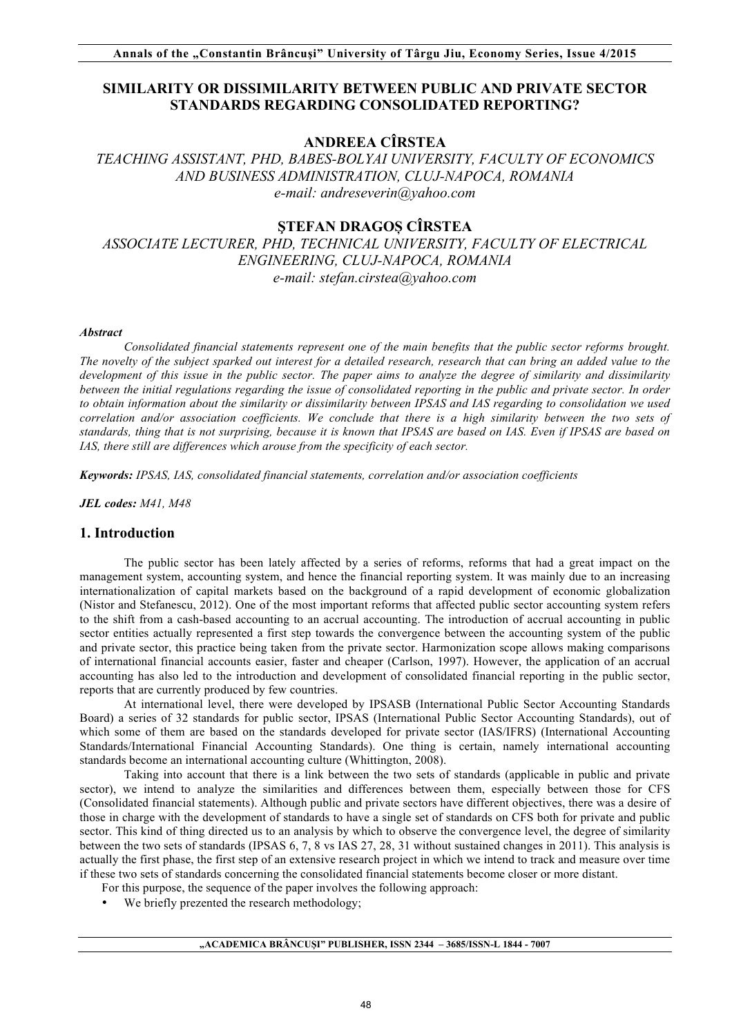## **SIMILARITY OR DISSIMILARITY BETWEEN PUBLIC AND PRIVATE SECTOR STANDARDS REGARDING CONSOLIDATED REPORTING?**

## **ANDREEA CÎRSTEA**

*TEACHING ASSISTANT, PHD, BABES-BOLYAI UNIVERSITY, FACULTY OF ECONOMICS AND BUSINESS ADMINISTRATION, CLUJ-NAPOCA, ROMANIA e-mail: andreseverin@yahoo.com* 

# **ŞTEFAN DRAGOȘ CÎRSTEA**

*ASSOCIATE LECTURER, PHD, TECHNICAL UNIVERSITY, FACULTY OF ELECTRICAL ENGINEERING, CLUJ-NAPOCA, ROMANIA e-mail: stefan.cirstea@yahoo.com* 

### *Abstract*

*Consolidated financial statements represent one of the main benefits that the public sector reforms brought. The novelty of the subject sparked out interest for a detailed research, research that can bring an added value to the development of this issue in the public sector. The paper aims to analyze the degree of similarity and dissimilarity between the initial regulations regarding the issue of consolidated reporting in the public and private sector. In order to obtain information about the similarity or dissimilarity between IPSAS and IAS regarding to consolidation we used correlation and/or association coefficients. We conclude that there is a high similarity between the two sets of standards, thing that is not surprising, because it is known that IPSAS are based on IAS. Even if IPSAS are based on IAS, there still are differences which arouse from the specificity of each sector.*

*Keywords: IPSAS, IAS, consolidated financial statements, correlation and/or association coefficients*

*JEL codes: M41, M48* 

## **1. Introduction**

The public sector has been lately affected by a series of reforms, reforms that had a great impact on the management system, accounting system, and hence the financial reporting system. It was mainly due to an increasing internationalization of capital markets based on the background of a rapid development of economic globalization (Nistor and Stefanescu, 2012). One of the most important reforms that affected public sector accounting system refers to the shift from a cash-based accounting to an accrual accounting. The introduction of accrual accounting in public sector entities actually represented a first step towards the convergence between the accounting system of the public and private sector, this practice being taken from the private sector. Harmonization scope allows making comparisons of international financial accounts easier, faster and cheaper (Carlson, 1997). However, the application of an accrual accounting has also led to the introduction and development of consolidated financial reporting in the public sector, reports that are currently produced by few countries.

At international level, there were developed by IPSASB (International Public Sector Accounting Standards Board) a series of 32 standards for public sector, IPSAS (International Public Sector Accounting Standards), out of which some of them are based on the standards developed for private sector (IAS/IFRS) (International Accounting Standards/International Financial Accounting Standards). One thing is certain, namely international accounting standards become an international accounting culture (Whittington, 2008).

Taking into account that there is a link between the two sets of standards (applicable in public and private sector), we intend to analyze the similarities and differences between them, especially between those for CFS (Consolidated financial statements). Although public and private sectors have different objectives, there was a desire of those in charge with the development of standards to have a single set of standards on CFS both for private and public sector. This kind of thing directed us to an analysis by which to observe the convergence level, the degree of similarity between the two sets of standards (IPSAS 6, 7, 8 vs IAS 27, 28, 31 without sustained changes in 2011). This analysis is actually the first phase, the first step of an extensive research project in which we intend to track and measure over time if these two sets of standards concerning the consolidated financial statements become closer or more distant.

For this purpose, the sequence of the paper involves the following approach:

We briefly prezented the research methodology;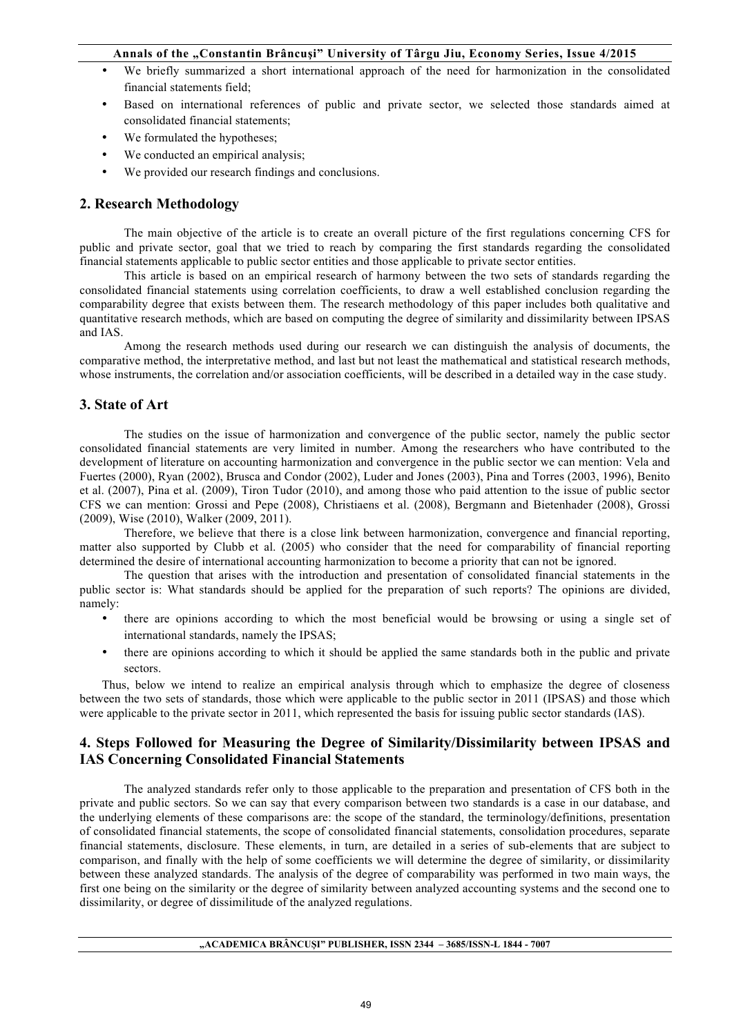- We briefly summarized a short international approach of the need for harmonization in the consolidated financial statements field;
- Based on international references of public and private sector, we selected those standards aimed at consolidated financial statements;
- We formulated the hypotheses;
- We conducted an empirical analysis;
- We provided our research findings and conclusions.

## **2. Research Methodology**

The main objective of the article is to create an overall picture of the first regulations concerning CFS for public and private sector, goal that we tried to reach by comparing the first standards regarding the consolidated financial statements applicable to public sector entities and those applicable to private sector entities.

This article is based on an empirical research of harmony between the two sets of standards regarding the consolidated financial statements using correlation coefficients, to draw a well established conclusion regarding the comparability degree that exists between them. The research methodology of this paper includes both qualitative and quantitative research methods, which are based on computing the degree of similarity and dissimilarity between IPSAS and IAS.

Among the research methods used during our research we can distinguish the analysis of documents, the comparative method, the interpretative method, and last but not least the mathematical and statistical research methods, whose instruments, the correlation and/or association coefficients, will be described in a detailed way in the case study.

## **3. State of Art**

The studies on the issue of harmonization and convergence of the public sector, namely the public sector consolidated financial statements are very limited in number. Among the researchers who have contributed to the development of literature on accounting harmonization and convergence in the public sector we can mention: Vela and Fuertes (2000), Ryan (2002), Brusca and Condor (2002), Luder and Jones (2003), Pina and Torres (2003, 1996), Benito et al. (2007), Pina et al. (2009), Tiron Tudor (2010), and among those who paid attention to the issue of public sector CFS we can mention: Grossi and Pepe (2008), Christiaens et al. (2008), Bergmann and Bietenhader (2008), Grossi (2009), Wise (2010), Walker (2009, 2011).

Therefore, we believe that there is a close link between harmonization, convergence and financial reporting, matter also supported by Clubb et al. (2005) who consider that the need for comparability of financial reporting determined the desire of international accounting harmonization to become a priority that can not be ignored.

The question that arises with the introduction and presentation of consolidated financial statements in the public sector is: What standards should be applied for the preparation of such reports? The opinions are divided, namely:

- there are opinions according to which the most beneficial would be browsing or using a single set of international standards, namely the IPSAS;
- there are opinions according to which it should be applied the same standards both in the public and private sectors.

Thus, below we intend to realize an empirical analysis through which to emphasize the degree of closeness between the two sets of standards, those which were applicable to the public sector in 2011 (IPSAS) and those which were applicable to the private sector in 2011, which represented the basis for issuing public sector standards (IAS).

## **4. Steps Followed for Measuring the Degree of Similarity/Dissimilarity between IPSAS and IAS Concerning Consolidated Financial Statements**

The analyzed standards refer only to those applicable to the preparation and presentation of CFS both in the private and public sectors. So we can say that every comparison between two standards is a case in our database, and the underlying elements of these comparisons are: the scope of the standard, the terminology/definitions, presentation of consolidated financial statements, the scope of consolidated financial statements, consolidation procedures, separate financial statements, disclosure. These elements, in turn, are detailed in a series of sub-elements that are subject to comparison, and finally with the help of some coefficients we will determine the degree of similarity, or dissimilarity between these analyzed standards. The analysis of the degree of comparability was performed in two main ways, the first one being on the similarity or the degree of similarity between analyzed accounting systems and the second one to dissimilarity, or degree of dissimilitude of the analyzed regulations.

#### **"ACADEMICA BRÂNCUŞI" PUBLISHER, ISSN 2344 – 3685/ISSN-L 1844 - 7007**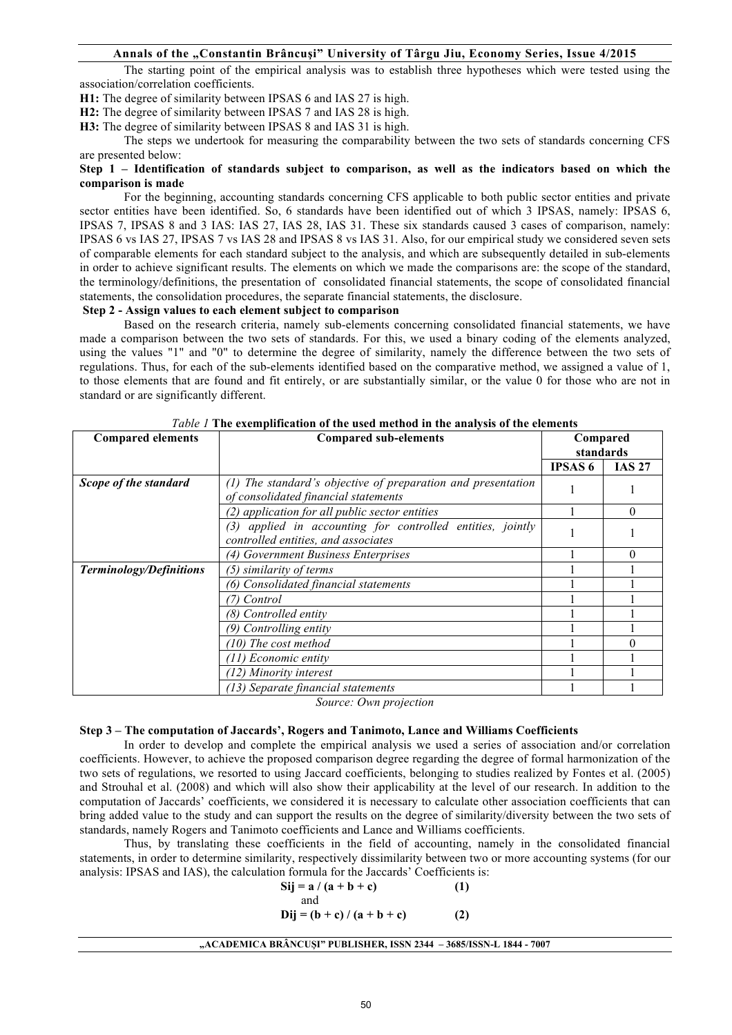The starting point of the empirical analysis was to establish three hypotheses which were tested using the association/correlation coefficients.

**H1:** The degree of similarity between IPSAS 6 and IAS 27 is high.

**H2:** The degree of similarity between IPSAS 7 and IAS 28 is high.

**H3:** The degree of similarity between IPSAS 8 and IAS 31 is high.

The steps we undertook for measuring the comparability between the two sets of standards concerning CFS are presented below:

## **Step 1 – Identification of standards subject to comparison, as well as the indicators based on which the comparison is made**

For the beginning, accounting standards concerning CFS applicable to both public sector entities and private sector entities have been identified. So, 6 standards have been identified out of which 3 IPSAS, namely: IPSAS 6, IPSAS 7, IPSAS 8 and 3 IAS: IAS 27, IAS 28, IAS 31. These six standards caused 3 cases of comparison, namely: IPSAS 6 vs IAS 27, IPSAS 7 vs IAS 28 and IPSAS 8 vs IAS 31. Also, for our empirical study we considered seven sets of comparable elements for each standard subject to the analysis, and which are subsequently detailed in sub-elements in order to achieve significant results. The elements on which we made the comparisons are: the scope of the standard, the terminology/definitions, the presentation of consolidated financial statements, the scope of consolidated financial statements, the consolidation procedures, the separate financial statements, the disclosure.

#### **Step 2 - Assign values to each element subject to comparison**

Based on the research criteria, namely sub-elements concerning consolidated financial statements, we have made a comparison between the two sets of standards. For this, we used a binary coding of the elements analyzed, using the values "1" and "0" to determine the degree of similarity, namely the difference between the two sets of regulations. Thus, for each of the sub-elements identified based on the comparative method, we assigned a value of 1, to those elements that are found and fit entirely, or are substantially similar, or the value 0 for those who are not in standard or are significantly different.

| <b>Compared elements</b> | <b>Compared sub-elements</b>                                                                            | Compared<br>standards |               |
|--------------------------|---------------------------------------------------------------------------------------------------------|-----------------------|---------------|
|                          |                                                                                                         | <b>IPSAS 6</b>        | <b>IAS 27</b> |
| Scope of the standard    | The standard's objective of preparation and presentation<br>(1)<br>of consolidated financial statements |                       |               |
|                          | application for all public sector entities<br>(2)                                                       |                       | 0             |
|                          | applied in accounting for controlled entities, jointly<br>(3)<br>controlled entities, and associates    |                       |               |
|                          | (4) Government Business Enterprises                                                                     |                       |               |
| Terminology/Definitions  | (5) similarity of terms                                                                                 |                       |               |
|                          | Consolidated financial statements<br>(6)                                                                |                       |               |
|                          | Control                                                                                                 |                       |               |
|                          | (8) Controlled entity                                                                                   |                       |               |
|                          | Controlling entity<br>(9).                                                                              |                       |               |
|                          | (10) The cost method                                                                                    |                       |               |
|                          | (11) Economic entity                                                                                    |                       |               |
|                          | (12) Minority interest                                                                                  |                       |               |
|                          | (13) Separate financial statements                                                                      |                       |               |

| Table 1 The exemplification of the used method in the analysis of the elements |  |  |  |  |
|--------------------------------------------------------------------------------|--|--|--|--|
|                                                                                |  |  |  |  |

*Source: Own projection*

#### **Step 3 – The computation of Jaccards', Rogers and Tanimoto, Lance and Williams Coefficients**

In order to develop and complete the empirical analysis we used a series of association and/or correlation coefficients. However, to achieve the proposed comparison degree regarding the degree of formal harmonization of the two sets of regulations, we resorted to using Jaccard coefficients, belonging to studies realized by Fontes et al. (2005) and Strouhal et al. (2008) and which will also show their applicability at the level of our research. In addition to the computation of Jaccards' coefficients, we considered it is necessary to calculate other association coefficients that can bring added value to the study and can support the results on the degree of similarity/diversity between the two sets of standards, namely Rogers and Tanimoto coefficients and Lance and Williams coefficients.

Thus, by translating these coefficients in the field of accounting, namely in the consolidated financial statements, in order to determine similarity, respectively dissimilarity between two or more accounting systems (for our analysis: IPSAS and IAS), the calculation formula for the Jaccards' Coefficients is:

| $Sij = a / (a + b + c)$            | (1) |
|------------------------------------|-----|
| and<br>$Dii = (b + c)/(a + b + c)$ | (2) |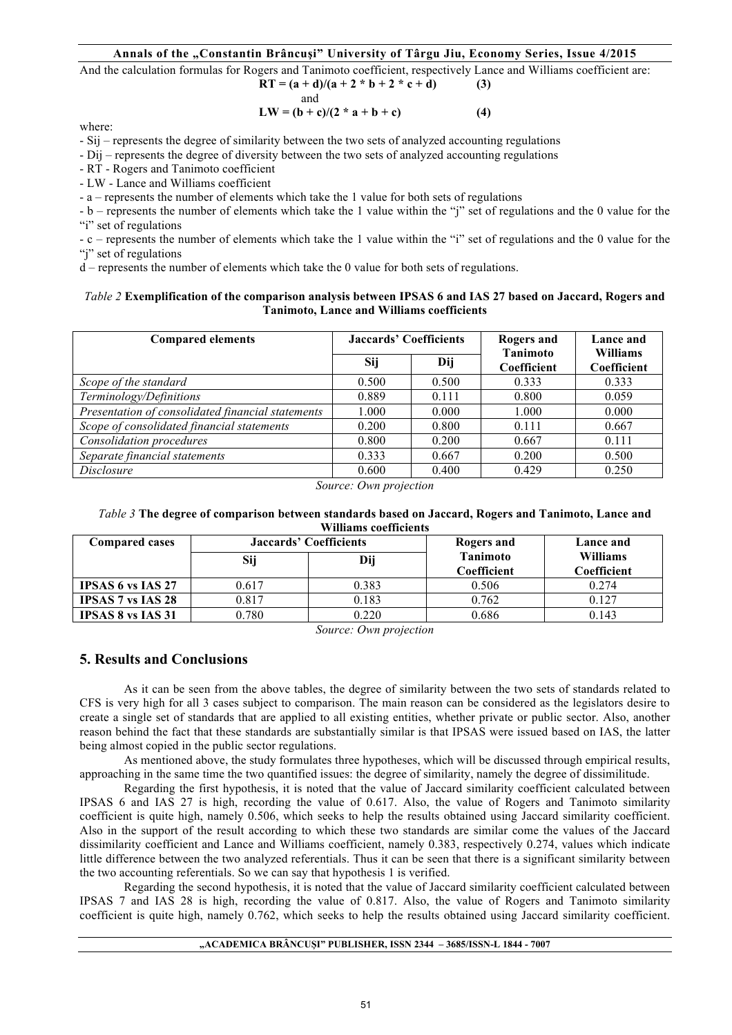And the calculation formulas for Rogers and Tanimoto coefficient, respectively Lance and Williams coefficient are:

$$
RT = (a + d)/(a + 2 * b + 2 * c + d)
$$
 (3)  
and  

$$
TN = (b + c)/(2 * c + b + c)
$$
 (4)

$$
LW = (b + c)/(2 * a + b + c)
$$
 (4)

where:

- Sij – represents the degree of similarity between the two sets of analyzed accounting regulations

- Dij – represents the degree of diversity between the two sets of analyzed accounting regulations

- RT - Rogers and Tanimoto coefficient

- LW - Lance and Williams coefficient

- a – represents the number of elements which take the 1 value for both sets of regulations

- b – represents the number of elements which take the 1 value within the "j" set of regulations and the 0 value for the "i" set of regulations

- c – represents the number of elements which take the 1 value within the "i" set of regulations and the 0 value for the "i" set of regulations

d – represents the number of elements which take the 0 value for both sets of regulations.

### *Table 2* **Exemplification of the comparison analysis between IPSAS 6 and IAS 27 based on Jaccard, Rogers and Tanimoto, Lance and Williams coefficients**

| <b>Compared elements</b>                          | <b>Jaccards' Coefficients</b> |       | Rogers and<br><b>Tanimoto</b> | Lance and<br><b>Williams</b> |  |
|---------------------------------------------------|-------------------------------|-------|-------------------------------|------------------------------|--|
|                                                   | Sij                           | Dij   | Coefficient                   | Coefficient                  |  |
| Scope of the standard                             | 0.500                         | 0.500 | 0.333                         | 0.333                        |  |
| Terminology/Definitions                           | 0.889                         | 0.111 | 0.800                         | 0.059                        |  |
| Presentation of consolidated financial statements | 1.000                         | 0.000 | 1.000                         | 0.000                        |  |
| Scope of consolidated financial statements        | 0.200                         | 0.800 | 0.111                         | 0.667                        |  |
| <b>Consolidation procedures</b>                   | 0.800                         | 0.200 | 0.667                         | 0.111                        |  |
| Separate financial statements                     | 0.333                         | 0.667 | 0.200                         | 0.500                        |  |
| <i>Disclosure</i>                                 | 0.600                         | 0.400 | 0.429                         | 0.250                        |  |

*Source: Own projection*

#### *Table 3* **The degree of comparison between standards based on Jaccard, Rogers and Tanimoto, Lance and Williams coefficients**

| <b>Compared cases</b>    | Jaccards' Coefficients |       | Rogers and                     | Lance and                      |  |
|--------------------------|------------------------|-------|--------------------------------|--------------------------------|--|
|                          | Sij                    | Dij   | <b>Tanimoto</b><br>Coefficient | <b>Williams</b><br>Coefficient |  |
| <b>IPSAS 6 vs IAS 27</b> | 0.617                  | 0.383 | 0.506                          | 0.274                          |  |
| <b>IPSAS 7 vs IAS 28</b> | 0.817                  | 0.183 | 0.762                          | 0.127                          |  |
| <b>IPSAS 8 vs IAS 31</b> | 0.780                  | 0.220 | 0.686                          | 0.143                          |  |

*Source: Own projection*

## **5. Results and Conclusions**

As it can be seen from the above tables, the degree of similarity between the two sets of standards related to CFS is very high for all 3 cases subject to comparison. The main reason can be considered as the legislators desire to create a single set of standards that are applied to all existing entities, whether private or public sector. Also, another reason behind the fact that these standards are substantially similar is that IPSAS were issued based on IAS, the latter being almost copied in the public sector regulations.

As mentioned above, the study formulates three hypotheses, which will be discussed through empirical results, approaching in the same time the two quantified issues: the degree of similarity, namely the degree of dissimilitude.

Regarding the first hypothesis, it is noted that the value of Jaccard similarity coefficient calculated between IPSAS 6 and IAS 27 is high, recording the value of 0.617. Also, the value of Rogers and Tanimoto similarity coefficient is quite high, namely 0.506, which seeks to help the results obtained using Jaccard similarity coefficient. Also in the support of the result according to which these two standards are similar come the values of the Jaccard dissimilarity coefficient and Lance and Williams coefficient, namely 0.383, respectively 0.274, values which indicate little difference between the two analyzed referentials. Thus it can be seen that there is a significant similarity between the two accounting referentials. So we can say that hypothesis 1 is verified.

Regarding the second hypothesis, it is noted that the value of Jaccard similarity coefficient calculated between IPSAS 7 and IAS 28 is high, recording the value of 0.817. Also, the value of Rogers and Tanimoto similarity coefficient is quite high, namely 0.762, which seeks to help the results obtained using Jaccard similarity coefficient.

#### **"ACADEMICA BRÂNCUŞI" PUBLISHER, ISSN 2344 – 3685/ISSN-L 1844 - 7007**